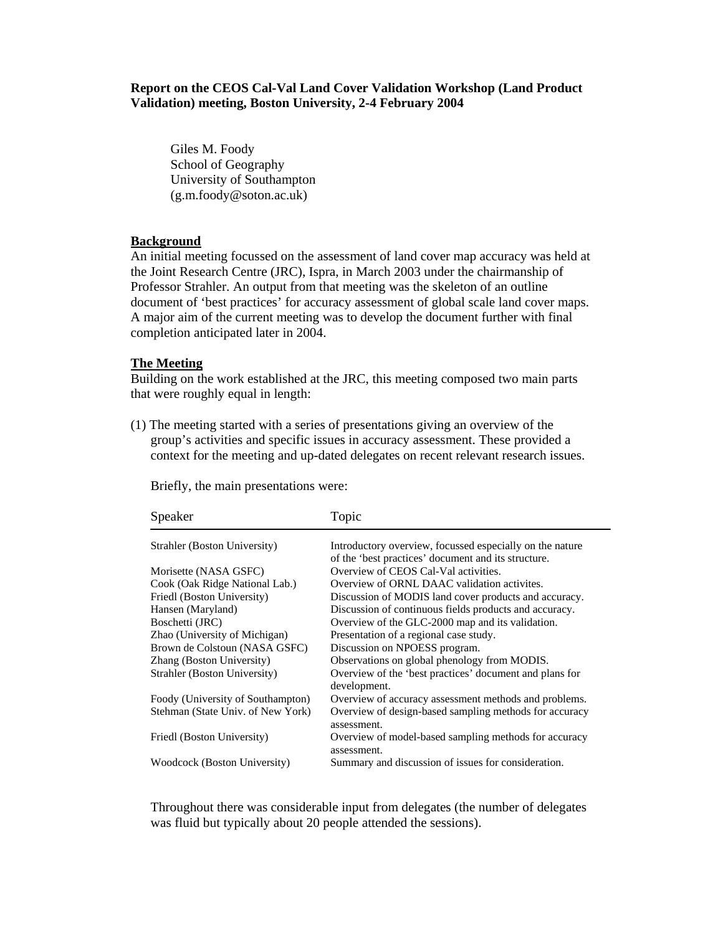## **Report on the CEOS Cal-Val Land Cover Validation Workshop (Land Product Validation) meeting, Boston University, 2-4 February 2004**

Giles M. Foody School of Geography University of Southampton (g.m.foody@soton.ac.uk)

## **Background**

An initial meeting focussed on the assessment of land cover map accuracy was held at the Joint Research Centre (JRC), Ispra, in March 2003 under the chairmanship of Professor Strahler. An output from that meeting was the skeleton of an outline document of 'best practices' for accuracy assessment of global scale land cover maps. A major aim of the current meeting was to develop the document further with final completion anticipated later in 2004.

## **The Meeting**

Building on the work established at the JRC, this meeting composed two main parts that were roughly equal in length:

(1) The meeting started with a series of presentations giving an overview of the group's activities and specific issues in accuracy assessment. These provided a context for the meeting and up-dated delegates on recent relevant research issues.

| Speaker                           | Topic                                                                   |
|-----------------------------------|-------------------------------------------------------------------------|
| Strahler (Boston University)      | Introductory overview, focussed especially on the nature                |
|                                   | of the 'best practices' document and its structure.                     |
| Morisette (NASA GSFC)             | Overview of CEOS Cal-Val activities.                                    |
| Cook (Oak Ridge National Lab.)    | Overview of ORNL DAAC validation activites.                             |
| Friedl (Boston University)        | Discussion of MODIS land cover products and accuracy.                   |
| Hansen (Maryland)                 | Discussion of continuous fields products and accuracy.                  |
| Boschetti (JRC)                   | Overview of the GLC-2000 map and its validation.                        |
| Zhao (University of Michigan)     | Presentation of a regional case study.                                  |
| Brown de Colstoun (NASA GSFC)     | Discussion on NPOESS program.                                           |
| Zhang (Boston University)         | Observations on global phenology from MODIS.                            |
| Strahler (Boston University)      | Overview of the 'best practices' document and plans for<br>development. |
| Foody (University of Southampton) | Overview of accuracy assessment methods and problems.                   |
| Stehman (State Univ. of New York) | Overview of design-based sampling methods for accuracy<br>assessment.   |
| Friedl (Boston University)        | Overview of model-based sampling methods for accuracy<br>assessment.    |
| Woodcock (Boston University)      | Summary and discussion of issues for consideration.                     |

Briefly, the main presentations were:

Throughout there was considerable input from delegates (the number of delegates was fluid but typically about 20 people attended the sessions).